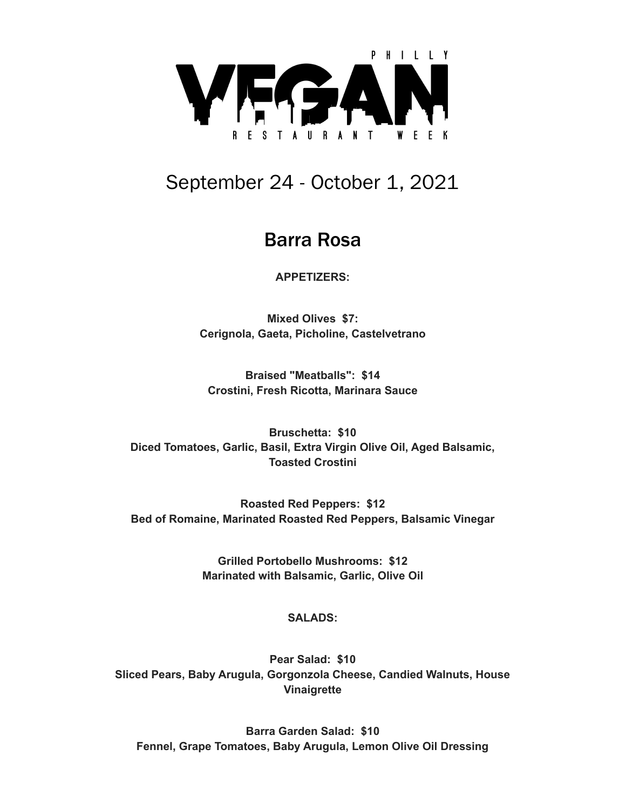

# September 24 - October 1, 2021

## Barra Rosa

**APPETIZERS:**

**Mixed Olives \$7: Cerignola, Gaeta, Picholine, Castelvetrano**

**Braised "Meatballs": \$14 Crostini, Fresh Ricotta, Marinara Sauce**

**Bruschetta: \$10 Diced Tomatoes, Garlic, Basil, Extra Virgin Olive Oil, Aged Balsamic, Toasted Crostini**

**Roasted Red Peppers: \$12 Bed of Romaine, Marinated Roasted Red Peppers, Balsamic Vinegar**

> **Grilled Portobello Mushrooms: \$12 Marinated with Balsamic, Garlic, Olive Oil**

## **SALADS:**

**Pear Salad: \$10 Sliced Pears, Baby Arugula, Gorgonzola Cheese, Candied Walnuts, House Vinaigrette**

**Barra Garden Salad: \$10 Fennel, Grape Tomatoes, Baby Arugula, Lemon Olive Oil Dressing**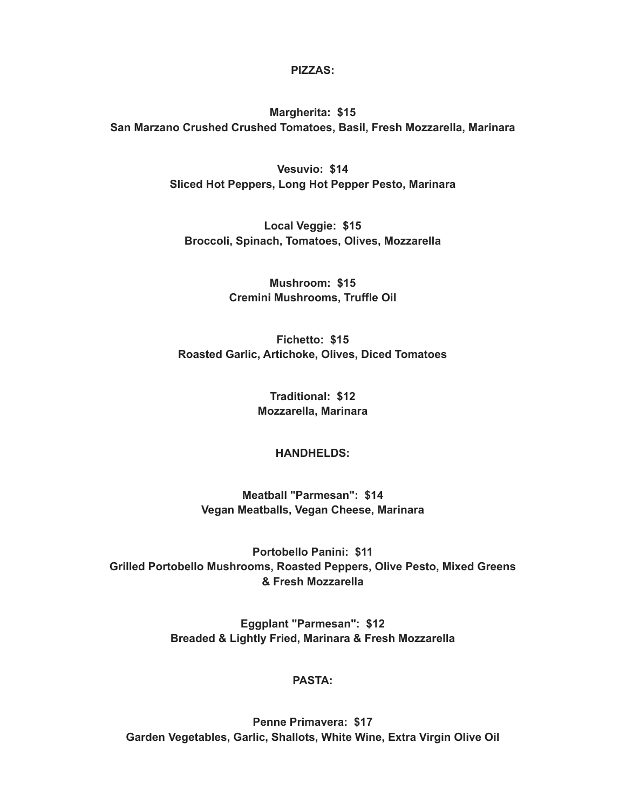**PIZZAS:**

**Margherita: \$15 San Marzano Crushed Crushed Tomatoes, Basil, Fresh Mozzarella, Marinara**

> **Vesuvio: \$14 Sliced Hot Peppers, Long Hot Pepper Pesto, Marinara**

**Local Veggie: \$15 Broccoli, Spinach, Tomatoes, Olives, Mozzarella**

> **Mushroom: \$15 Cremini Mushrooms, Truffle Oil**

**Fichetto: \$15 Roasted Garlic, Artichoke, Olives, Diced Tomatoes**

> **Traditional: \$12 Mozzarella, Marinara**

### **HANDHELDS:**

**Meatball "Parmesan": \$14 Vegan Meatballs, Vegan Cheese, Marinara**

**Portobello Panini: \$11 Grilled Portobello Mushrooms, Roasted Peppers, Olive Pesto, Mixed Greens & Fresh Mozzarella**

> **Eggplant "Parmesan": \$12 Breaded & Lightly Fried, Marinara & Fresh Mozzarella**

### **PASTA:**

**Penne Primavera: \$17 Garden Vegetables, Garlic, Shallots, White Wine, Extra Virgin Olive Oil**